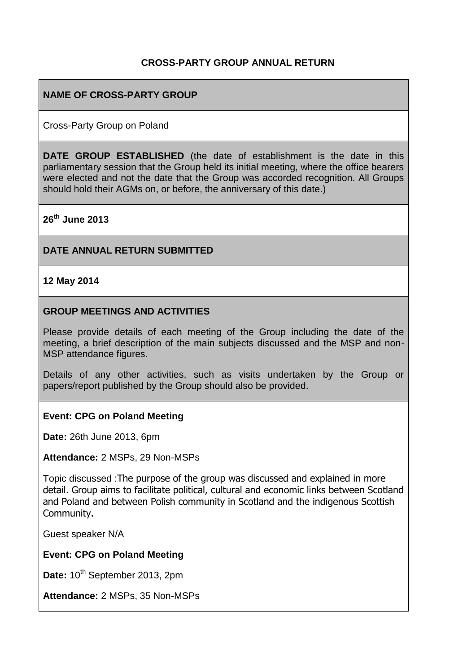## **CROSS-PARTY GROUP ANNUAL RETURN**

### **NAME OF CROSS-PARTY GROUP**

Cross-Party Group on Poland

**DATE GROUP ESTABLISHED** (the date of establishment is the date in this parliamentary session that the Group held its initial meeting, where the office bearers were elected and not the date that the Group was accorded recognition. All Groups should hold their AGMs on, or before, the anniversary of this date.)

**26th June 2013**

#### **DATE ANNUAL RETURN SUBMITTED**

**12 May 2014**

#### **GROUP MEETINGS AND ACTIVITIES**

Please provide details of each meeting of the Group including the date of the meeting, a brief description of the main subjects discussed and the MSP and non-MSP attendance figures.

Details of any other activities, such as visits undertaken by the Group or papers/report published by the Group should also be provided.

#### **Event: CPG on Poland Meeting**

**Date:** 26th June 2013, 6pm

**Attendance:** 2 MSPs, 29 Non-MSPs

Topic discussed :The purpose of the group was discussed and explained in more detail. Group aims to facilitate political, cultural and economic links between Scotland and Poland and between Polish community in Scotland and the indigenous Scottish Community.

Guest speaker N/A

**Event: CPG on Poland Meeting** 

Date: 10<sup>th</sup> September 2013, 2pm

**Attendance:** 2 MSPs, 35 Non-MSPs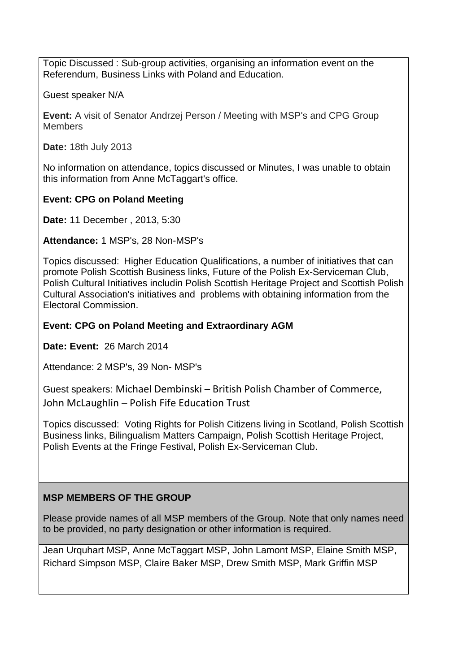Topic Discussed : Sub-group activities, organising an information event on the Referendum, Business Links with Poland and Education.

Guest speaker N/A

**Event:** A visit of Senator Andrzej Person / Meeting with MSP's and CPG Group **Members** 

**Date:** 18th July 2013

No information on attendance, topics discussed or Minutes, I was unable to obtain this information from Anne McTaggart's office.

# **Event: CPG on Poland Meeting**

**Date:** 11 December , 2013, 5:30

**Attendance:** 1 MSP's, 28 Non-MSP's

Topics discussed: Higher Education Qualifications, a number of initiatives that can promote Polish Scottish Business links, Future of the Polish Ex-Serviceman Club, Polish Cultural Initiatives includin Polish Scottish Heritage Project and Scottish Polish Cultural Association's initiatives and problems with obtaining information from the Electoral Commission.

## **Event: CPG on Poland Meeting and Extraordinary AGM**

**Date: Event:** 26 March 2014

Attendance: 2 MSP's, 39 Non- MSP's

Guest speakers: Michael Dembinski – British Polish Chamber of Commerce, John McLaughlin – Polish Fife Education Trust

Topics discussed: Voting Rights for Polish Citizens living in Scotland, Polish Scottish Business links, Bilingualism Matters Campaign, Polish Scottish Heritage Project, Polish Events at the Fringe Festival, Polish Ex-Serviceman Club.

# **MSP MEMBERS OF THE GROUP**

Please provide names of all MSP members of the Group. Note that only names need to be provided, no party designation or other information is required.

Jean Urquhart MSP, Anne McTaggart MSP, John Lamont MSP, Elaine Smith MSP, Richard Simpson MSP, Claire Baker MSP, Drew Smith MSP, Mark Griffin MSP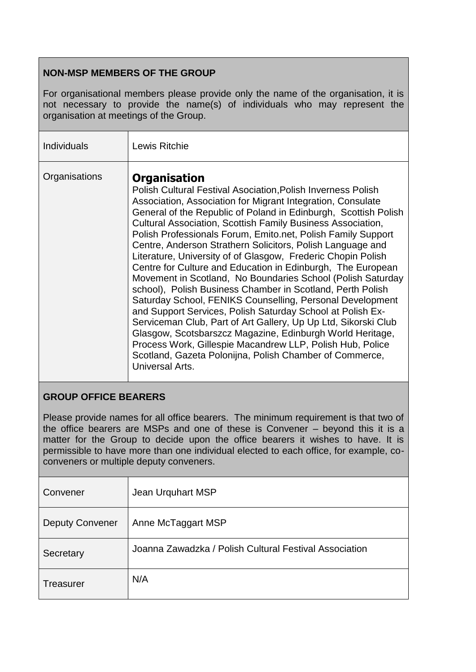# **NON-MSP MEMBERS OF THE GROUP**

For organisational members please provide only the name of the organisation, it is not necessary to provide the name(s) of individuals who may represent the organisation at meetings of the Group.

| <b>Individuals</b> | Lewis Ritchie                                                                                                                                                                                                                                                                                                                                                                                                                                                                                                                                                                                                                                                                                                                                                                                                                                                                                                                                                                                                                                                                                     |
|--------------------|---------------------------------------------------------------------------------------------------------------------------------------------------------------------------------------------------------------------------------------------------------------------------------------------------------------------------------------------------------------------------------------------------------------------------------------------------------------------------------------------------------------------------------------------------------------------------------------------------------------------------------------------------------------------------------------------------------------------------------------------------------------------------------------------------------------------------------------------------------------------------------------------------------------------------------------------------------------------------------------------------------------------------------------------------------------------------------------------------|
| Organisations      | <b>Organisation</b><br><b>Polish Cultural Festival Asociation, Polish Inverness Polish</b><br>Association, Association for Migrant Integration, Consulate<br>General of the Republic of Poland in Edinburgh, Scottish Polish<br><b>Cultural Association, Scottish Family Business Association,</b><br>Polish Professionals Forum, Emito.net, Polish Family Support<br>Centre, Anderson Strathern Solicitors, Polish Language and<br>Literature, University of of Glasgow, Frederic Chopin Polish<br>Centre for Culture and Education in Edinburgh, The European<br>Movement in Scotland, No Boundaries School (Polish Saturday<br>school), Polish Business Chamber in Scotland, Perth Polish<br>Saturday School, FENIKS Counselling, Personal Development<br>and Support Services, Polish Saturday School at Polish Ex-<br>Serviceman Club, Part of Art Gallery, Up Up Ltd, Sikorski Club<br>Glasgow, Scotsbarszcz Magazine, Edinburgh World Heritage,<br>Process Work, Gillespie Macandrew LLP, Polish Hub, Police<br>Scotland, Gazeta Polonijna, Polish Chamber of Commerce,<br>Universal Arts. |

## **GROUP OFFICE BEARERS**

Please provide names for all office bearers. The minimum requirement is that two of the office bearers are MSPs and one of these is Convener – beyond this it is a matter for the Group to decide upon the office bearers it wishes to have. It is permissible to have more than one individual elected to each office, for example, coconveners or multiple deputy conveners.

| Convener               | Jean Urquhart MSP                                      |
|------------------------|--------------------------------------------------------|
| <b>Deputy Convener</b> | Anne McTaggart MSP                                     |
| Secretary              | Joanna Zawadzka / Polish Cultural Festival Association |
| Treasurer              | N/A                                                    |